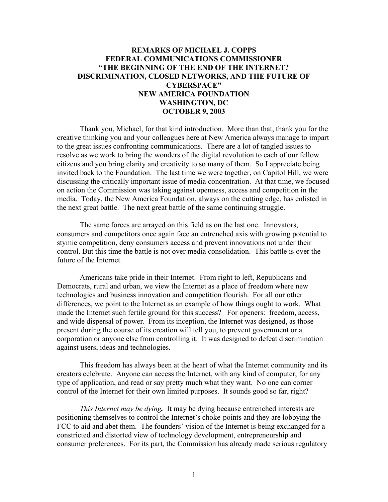## **REMARKS OF MICHAEL J. COPPS FEDERAL COMMUNICATIONS COMMISSIONER "THE BEGINNING OF THE END OF THE INTERNET? DISCRIMINATION, CLOSED NETWORKS, AND THE FUTURE OF CYBERSPACE" NEW AMERICA FOUNDATION WASHINGTON, DC OCTOBER 9, 2003**

Thank you, Michael, for that kind introduction. More than that, thank you for the creative thinking you and your colleagues here at New America always manage to impart to the great issues confronting communications. There are a lot of tangled issues to resolve as we work to bring the wonders of the digital revolution to each of our fellow citizens and you bring clarity and creativity to so many of them. So I appreciate being invited back to the Foundation. The last time we were together, on Capitol Hill, we were discussing the critically important issue of media concentration. At that time, we focused on action the Commission was taking against openness, access and competition in the media. Today, the New America Foundation, always on the cutting edge, has enlisted in the next great battle. The next great battle of the same continuing struggle.

 The same forces are arrayed on this field as on the last one. Innovators, consumers and competitors once again face an entrenched axis with growing potential to stymie competition, deny consumers access and prevent innovations not under their control. But this time the battle is not over media consolidation. This battle is over the future of the Internet.

 Americans take pride in their Internet. From right to left, Republicans and Democrats, rural and urban, we view the Internet as a place of freedom where new technologies and business innovation and competition flourish. For all our other differences, we point to the Internet as an example of how things ought to work. What made the Internet such fertile ground for this success? For openers: freedom, access, and wide dispersal of power. From its inception, the Internet was designed, as those present during the course of its creation will tell you, to prevent government or a corporation or anyone else from controlling it. It was designed to defeat discrimination against users, ideas and technologies.

 This freedom has always been at the heart of what the Internet community and its creators celebrate. Anyone can access the Internet, with any kind of computer, for any type of application, and read or say pretty much what they want. No one can corner control of the Internet for their own limited purposes. It sounds good so far, right?

*This Internet may be dying.* It may be dying because entrenched interests are positioning themselves to control the Internet's choke-points and they are lobbying the FCC to aid and abet them. The founders' vision of the Internet is being exchanged for a constricted and distorted view of technology development, entrepreneurship and consumer preferences. For its part, the Commission has already made serious regulatory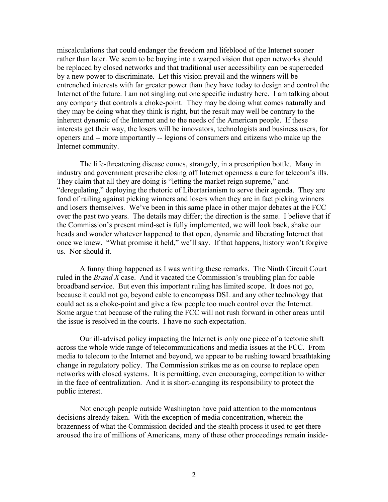miscalculations that could endanger the freedom and lifeblood of the Internet sooner rather than later. We seem to be buying into a warped vision that open networks should be replaced by closed networks and that traditional user accessibility can be superceded by a new power to discriminate. Let this vision prevail and the winners will be entrenched interests with far greater power than they have today to design and control the Internet of the future. I am not singling out one specific industry here. I am talking about any company that controls a choke-point. They may be doing what comes naturally and they may be doing what they think is right, but the result may well be contrary to the inherent dynamic of the Internet and to the needs of the American people. If these interests get their way, the losers will be innovators, technologists and business users, for openers and -- more importantly -- legions of consumers and citizens who make up the Internet community.

The life-threatening disease comes, strangely, in a prescription bottle. Many in industry and government prescribe closing off Internet openness a cure for telecom's ills. They claim that all they are doing is "letting the market reign supreme," and "deregulating," deploying the rhetoric of Libertarianism to serve their agenda. They are fond of railing against picking winners and losers when they are in fact picking winners and losers themselves. We've been in this same place in other major debates at the FCC over the past two years. The details may differ; the direction is the same. I believe that if the Commission's present mind-set is fully implemented, we will look back, shake our heads and wonder whatever happened to that open, dynamic and liberating Internet that once we knew. "What promise it held," we'll say. If that happens, history won't forgive us. Nor should it.

 A funny thing happened as I was writing these remarks. The Ninth Circuit Court ruled in the *Brand X* case. And it vacated the Commission's troubling plan for cable broadband service. But even this important ruling has limited scope. It does not go, because it could not go, beyond cable to encompass DSL and any other technology that could act as a choke-point and give a few people too much control over the Internet. Some argue that because of the ruling the FCC will not rush forward in other areas until the issue is resolved in the courts. I have no such expectation.

Our ill-advised policy impacting the Internet is only one piece of a tectonic shift across the whole wide range of telecommunications and media issues at the FCC. From media to telecom to the Internet and beyond, we appear to be rushing toward breathtaking change in regulatory policy. The Commission strikes me as on course to replace open networks with closed systems. It is permitting, even encouraging, competition to wither in the face of centralization. And it is short-changing its responsibility to protect the public interest.

Not enough people outside Washington have paid attention to the momentous decisions already taken. With the exception of media concentration, wherein the brazenness of what the Commission decided and the stealth process it used to get there aroused the ire of millions of Americans, many of these other proceedings remain inside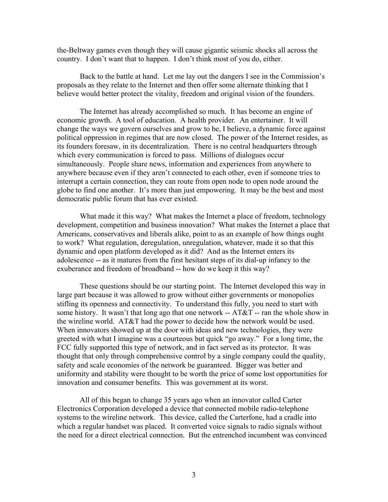the-Beltway games even though they will cause gigantic seismic shocks all across the country. I don't want that to happen. I don't think most of you do, either.

 Back to the battle at hand. Let me lay out the dangers I see in the Commission's proposals as they relate to the Internet and then offer some alternate thinking that I believe would better protect the vitality, freedom and original vision of the founders.

The Internet has already accomplished so much. It has become an engine of economic growth. A tool of education. A health provider. An entertainer. It will change the ways we govern ourselves and grow to be, I believe, a dynamic force against political oppression in regimes that are now closed. The power of the Internet resides, as its founders foresaw, in its decentralization. There is no central headquarters through which every communication is forced to pass. Millions of dialogues occur simultaneously. People share news, information and experiences from anywhere to anywhere because even if they aren't connected to each other, even if someone tries to interrupt a certain connection, they can route from open node to open node around the globe to find one another. It's more than just empowering. It may be the best and most democratic public forum that has ever existed.

What made it this way? What makes the Internet a place of freedom, technology development, competition and business innovation? What makes the Internet a place that Americans, conservatives and liberals alike, point to as an example of how things ought to work? What regulation, deregulation, unregulation, whatever, made it so that this dynamic and open platform developed as it did? And as the Internet enters its adolescence -- as it matures from the first hesitant steps of its dial-up infancy to the exuberance and freedom of broadband -- how do we keep it this way?

 These questions should be our starting point. The Internet developed this way in large part because it was allowed to grow without either governments or monopolies stifling its openness and connectivity. To understand this fully, you need to start with some history. It wasn't that long ago that one network --  $AT&T$  -- ran the whole show in the wireline world. AT&T had the power to decide how the network would be used. When innovators showed up at the door with ideas and new technologies, they were greeted with what I imagine was a courteous but quick "go away." For a long time, the FCC fully supported this type of network, and in fact served as its protector. It was thought that only through comprehensive control by a single company could the quality, safety and scale economies of the network be guaranteed. Bigger was better and uniformity and stability were thought to be worth the price of some lost opportunities for innovation and consumer benefits. This was government at its worst.

All of this began to change 35 years ago when an innovator called Carter Electronics Corporation developed a device that connected mobile radio-telephone systems to the wireline network. This device, called the Carterfone, had a cradle into which a regular handset was placed. It converted voice signals to radio signals without the need for a direct electrical connection. But the entrenched incumbent was convinced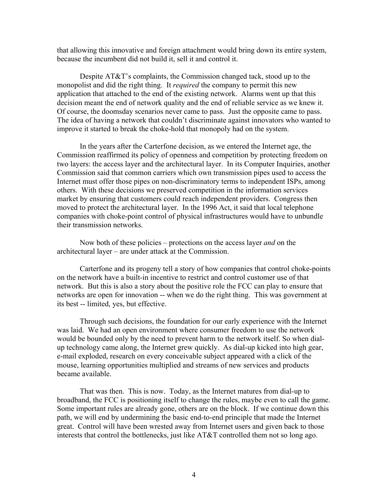that allowing this innovative and foreign attachment would bring down its entire system, because the incumbent did not build it, sell it and control it.

 Despite AT&T's complaints, the Commission changed tack, stood up to the monopolist and did the right thing. It *required* the company to permit this new application that attached to the end of the existing network. Alarms went up that this decision meant the end of network quality and the end of reliable service as we knew it. Of course, the doomsday scenarios never came to pass. Just the opposite came to pass. The idea of having a network that couldn't discriminate against innovators who wanted to improve it started to break the choke-hold that monopoly had on the system.

In the years after the Carterfone decision, as we entered the Internet age, the Commission reaffirmed its policy of openness and competition by protecting freedom on two layers: the access layer and the architectural layer. In its Computer Inquiries, another Commission said that common carriers which own transmission pipes used to access the Internet must offer those pipes on non-discriminatory terms to independent ISPs, among others. With these decisions we preserved competition in the information services market by ensuring that customers could reach independent providers. Congress then moved to protect the architectural layer. In the 1996 Act, it said that local telephone companies with choke-point control of physical infrastructures would have to unbundle their transmission networks.

Now both of these policies – protections on the access layer *and* on the architectural layer – are under attack at the Commission.

Carterfone and its progeny tell a story of how companies that control choke-points on the network have a built-in incentive to restrict and control customer use of that network. But this is also a story about the positive role the FCC can play to ensure that networks are open for innovation -- when we do the right thing. This was government at its best -- limited, yes, but effective.

Through such decisions, the foundation for our early experience with the Internet was laid. We had an open environment where consumer freedom to use the network would be bounded only by the need to prevent harm to the network itself. So when dialup technology came along, the Internet grew quickly. As dial-up kicked into high gear, e-mail exploded, research on every conceivable subject appeared with a click of the mouse, learning opportunities multiplied and streams of new services and products became available.

That was then. This is now. Today, as the Internet matures from dial-up to broadband, the FCC is positioning itself to change the rules, maybe even to call the game. Some important rules are already gone, others are on the block. If we continue down this path, we will end by undermining the basic end-to-end principle that made the Internet great. Control will have been wrested away from Internet users and given back to those interests that control the bottlenecks, just like AT&T controlled them not so long ago.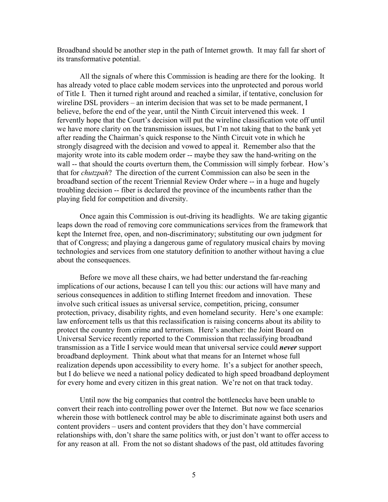Broadband should be another step in the path of Internet growth. It may fall far short of its transformative potential.

All the signals of where this Commission is heading are there for the looking. It has already voted to place cable modem services into the unprotected and porous world of Title I. Then it turned right around and reached a similar, if tentative, conclusion for wireline DSL providers – an interim decision that was set to be made permanent, I believe, before the end of the year, until the Ninth Circuit intervened this week. I fervently hope that the Court's decision will put the wireline classification vote off until we have more clarity on the transmission issues, but I'm not taking that to the bank yet after reading the Chairman's quick response to the Ninth Circuit vote in which he strongly disagreed with the decision and vowed to appeal it. Remember also that the majority wrote into its cable modem order -- maybe they saw the hand-writing on the wall -- that should the courts overturn them, the Commission will simply forbear. How's that for *chutzpah*? The direction of the current Commission can also be seen in the broadband section of the recent Triennial Review Order where -- in a huge and hugely troubling decision -- fiber is declared the province of the incumbents rather than the playing field for competition and diversity.

Once again this Commission is out-driving its headlights. We are taking gigantic leaps down the road of removing core communications services from the framework that kept the Internet free, open, and non-discriminatory; substituting our own judgment for that of Congress; and playing a dangerous game of regulatory musical chairs by moving technologies and services from one statutory definition to another without having a clue about the consequences.

Before we move all these chairs, we had better understand the far-reaching implications of our actions, because I can tell you this: our actions will have many and serious consequences in addition to stifling Internet freedom and innovation. These involve such critical issues as universal service, competition, pricing, consumer protection, privacy, disability rights, and even homeland security. Here's one example: law enforcement tells us that this reclassification is raising concerns about its ability to protect the country from crime and terrorism. Here's another: the Joint Board on Universal Service recently reported to the Commission that reclassifying broadband transmission as a Title I service would mean that universal service could *never* support broadband deployment. Think about what that means for an Internet whose full realization depends upon accessibility to every home. It's a subject for another speech, but I do believe we need a national policy dedicated to high speed broadband deployment for every home and every citizen in this great nation. We're not on that track today.

 Until now the big companies that control the bottlenecks have been unable to convert their reach into controlling power over the Internet. But now we face scenarios wherein those with bottleneck control may be able to discriminate against both users and content providers – users and content providers that they don't have commercial relationships with, don't share the same politics with, or just don't want to offer access to for any reason at all. From the not so distant shadows of the past, old attitudes favoring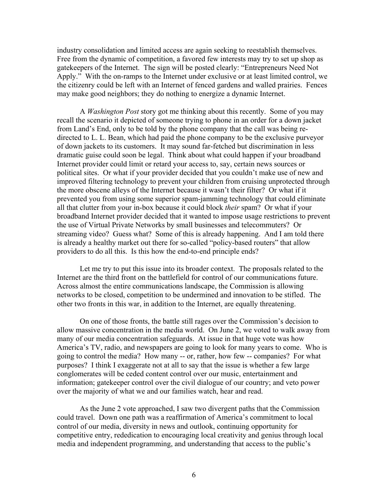industry consolidation and limited access are again seeking to reestablish themselves. Free from the dynamic of competition, a favored few interests may try to set up shop as gatekeepers of the Internet. The sign will be posted clearly: "Entrepreneurs Need Not Apply." With the on-ramps to the Internet under exclusive or at least limited control, we the citizenry could be left with an Internet of fenced gardens and walled prairies. Fences may make good neighbors; they do nothing to energize a dynamic Internet.

 A *Washington Post* story got me thinking about this recently. Some of you may recall the scenario it depicted of someone trying to phone in an order for a down jacket from Land's End, only to be told by the phone company that the call was being redirected to L. L. Bean, which had paid the phone company to be the exclusive purveyor of down jackets to its customers. It may sound far-fetched but discrimination in less dramatic guise could soon be legal. Think about what could happen if your broadband Internet provider could limit or retard your access to, say, certain news sources or political sites. Or what if your provider decided that you couldn't make use of new and improved filtering technology to prevent your children from cruising unprotected through the more obscene alleys of the Internet because it wasn't their filter? Or what if it prevented you from using some superior spam-jamming technology that could eliminate all that clutter from your in-box because it could block *their* spam? Or what if your broadband Internet provider decided that it wanted to impose usage restrictions to prevent the use of Virtual Private Networks by small businesses and telecommuters? Or streaming video? Guess what? Some of this is already happening. And I am told there is already a healthy market out there for so-called "policy-based routers" that allow providers to do all this. Is this how the end-to-end principle ends?

Let me try to put this issue into its broader context. The proposals related to the Internet are the third front on the battlefield for control of our communications future. Across almost the entire communications landscape, the Commission is allowing networks to be closed, competition to be undermined and innovation to be stifled. The other two fronts in this war, in addition to the Internet, are equally threatening.

On one of those fronts, the battle still rages over the Commission's decision to allow massive concentration in the media world. On June 2, we voted to walk away from many of our media concentration safeguards. At issue in that huge vote was how America's TV, radio, and newspapers are going to look for many years to come. Who is going to control the media? How many -- or, rather, how few -- companies? For what purposes? I think I exaggerate not at all to say that the issue is whether a few large conglomerates will be ceded content control over our music, entertainment and information; gatekeeper control over the civil dialogue of our country; and veto power over the majority of what we and our families watch, hear and read.

As the June 2 vote approached, I saw two divergent paths that the Commission could travel. Down one path was a reaffirmation of America's commitment to local control of our media, diversity in news and outlook, continuing opportunity for competitive entry, rededication to encouraging local creativity and genius through local media and independent programming, and understanding that access to the public's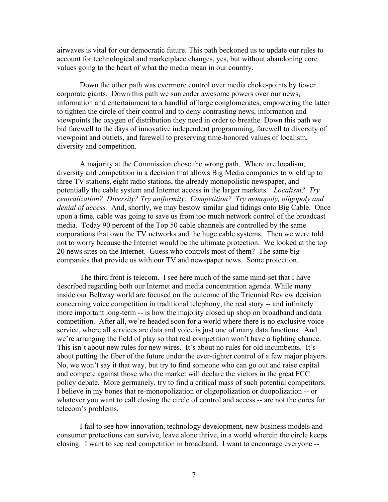airwaves is vital for our democratic future. This path beckoned us to update our rules to account for technological and marketplace changes, yes, but without abandoning core values going to the heart of what the media mean in our country.

 Down the other path was evermore control over media choke-points by fewer corporate giants. Down this path we surrender awesome powers over our news, information and entertainment to a handful of large conglomerates, empowering the latter to tighten the circle of their control and to deny contrasting news, information and viewpoints the oxygen of distribution they need in order to breathe. Down this path we bid farewell to the days of innovative independent programming, farewell to diversity of viewpoint and outlets, and farewell to preserving time-honored values of localism, diversity and competition.

A majority at the Commission chose the wrong path. Where are localism, diversity and competition in a decision that allows Big Media companies to wield up to three TV stations, eight radio stations, the already monopolistic newspaper, and potentially the cable system and Internet access in the larger markets. *Localism? Try centralization? Diversity? Try uniformity. Competition? Try monopoly, oligopoly and denial of access.* And, shortly, we may bestow similar glad tidings onto Big Cable. Once upon a time, cable was going to save us from too much network control of the broadcast media. Today 90 percent of the Top 50 cable channels are controlled by the same corporations that own the TV networks and the huge cable systems. Then we were told not to worry because the Internet would be the ultimate protection. We looked at the top 20 news sites on the Internet. Guess who controls most of them? The same big companies that provide us with our TV and newspaper news. Some protection.

The third front is telecom. I see here much of the same mind-set that I have described regarding both our Internet and media concentration agenda. While many inside our Beltway world are focused on the outcome of the Triennial Review decision concerning voice competition in traditional telephony, the real story -- and infinitely more important long-term -- is how the majority closed up shop on broadband and data competition. After all, we're headed soon for a world where there is no exclusive voice service, where all services are data and voice is just one of many data functions. And we're arranging the field of play so that real competition won't have a fighting chance. This isn't about new rules for new wires. It's about no rules for old incumbents. It's about putting the fiber of the future under the ever-tighter control of a few major players. No, we won't say it that way, but try to find someone who can go out and raise capital and compete against those who the market will declare the victors in the great FCC policy debate. More germanely, try to find a critical mass of such potential competitors. I believe in my bones that re-monopolization or oligopolization or duopolization -- or whatever you want to call closing the circle of control and access -- are not the cures for telecom's problems.

 I fail to see how innovation, technology development, new business models and consumer protections can survive, leave alone thrive, in a world wherein the circle keeps closing. I want to see real competition in broadband. I want to encourage everyone --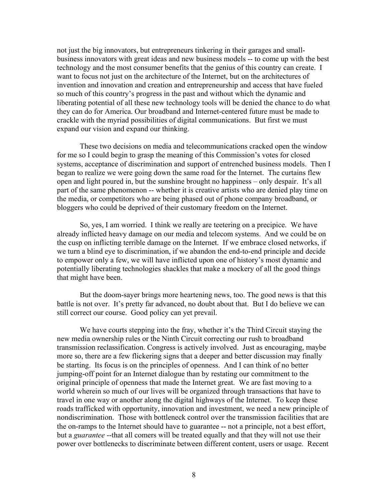not just the big innovators, but entrepreneurs tinkering in their garages and smallbusiness innovators with great ideas and new business models -- to come up with the best technology and the most consumer benefits that the genius of this country can create. I want to focus not just on the architecture of the Internet, but on the architectures of invention and innovation and creation and entrepreneurship and access that have fueled so much of this country's progress in the past and without which the dynamic and liberating potential of all these new technology tools will be denied the chance to do what they can do for America. Our broadband and Internet-centered future must be made to crackle with the myriad possibilities of digital communications. But first we must expand our vision and expand our thinking.

These two decisions on media and telecommunications cracked open the window for me so I could begin to grasp the meaning of this Commission's votes for closed systems, acceptance of discrimination and support of entrenched business models. Then I began to realize we were going down the same road for the Internet. The curtains flew open and light poured in, but the sunshine brought no happiness – only despair. It's all part of the same phenomenon -- whether it is creative artists who are denied play time on the media, or competitors who are being phased out of phone company broadband, or bloggers who could be deprived of their customary freedom on the Internet.

 So, yes, I am worried. I think we really are teetering on a precipice. We have already inflicted heavy damage on our media and telecom systems. And we could be on the cusp on inflicting terrible damage on the Internet. If we embrace closed networks, if we turn a blind eye to discrimination, if we abandon the end-to-end principle and decide to empower only a few, we will have inflicted upon one of history's most dynamic and potentially liberating technologies shackles that make a mockery of all the good things that might have been.

But the doom-sayer brings more heartening news, too. The good news is that this battle is not over. It's pretty far advanced, no doubt about that. But I do believe we can still correct our course. Good policy can yet prevail.

We have courts stepping into the fray, whether it's the Third Circuit staying the new media ownership rules or the Ninth Circuit correcting our rush to broadband transmission reclassification. Congress is actively involved. Just as encouraging, maybe more so, there are a few flickering signs that a deeper and better discussion may finally be starting. Its focus is on the principles of openness. And I can think of no better jumping-off point for an Internet dialogue than by restating our commitment to the original principle of openness that made the Internet great. We are fast moving to a world wherein so much of our lives will be organized through transactions that have to travel in one way or another along the digital highways of the Internet. To keep these roads trafficked with opportunity, innovation and investment, we need a new principle of nondiscrimination. Those with bottleneck control over the transmission facilities that are the on-ramps to the Internet should have to guarantee -- not a principle, not a best effort, but a *guarantee* --that all comers will be treated equally and that they will not use their power over bottlenecks to discriminate between different content, users or usage. Recent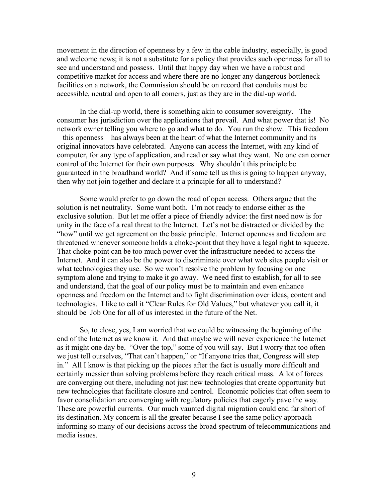movement in the direction of openness by a few in the cable industry, especially, is good and welcome news; it is not a substitute for a policy that provides such openness for all to see and understand and possess. Until that happy day when we have a robust and competitive market for access and where there are no longer any dangerous bottleneck facilities on a network, the Commission should be on record that conduits must be accessible, neutral and open to all comers, just as they are in the dial-up world.

In the dial-up world, there is something akin to consumer sovereignty. The consumer has jurisdiction over the applications that prevail. And what power that is! No network owner telling you where to go and what to do. You run the show. This freedom – this openness – has always been at the heart of what the Internet community and its original innovators have celebrated. Anyone can access the Internet, with any kind of computer, for any type of application, and read or say what they want. No one can corner control of the Internet for their own purposes. Why shouldn't this principle be guaranteed in the broadband world? And if some tell us this is going to happen anyway, then why not join together and declare it a principle for all to understand?

Some would prefer to go down the road of open access. Others argue that the solution is net neutrality. Some want both. I'm not ready to endorse either as the exclusive solution. But let me offer a piece of friendly advice: the first need now is for unity in the face of a real threat to the Internet. Let's not be distracted or divided by the "how" until we get agreement on the basic principle. Internet openness and freedom are threatened whenever someone holds a choke-point that they have a legal right to squeeze. That choke-point can be too much power over the infrastructure needed to access the Internet. And it can also be the power to discriminate over what web sites people visit or what technologies they use. So we won't resolve the problem by focusing on one symptom alone and trying to make it go away. We need first to establish, for all to see and understand, that the goal of our policy must be to maintain and even enhance openness and freedom on the Internet and to fight discrimination over ideas, content and technologies. I like to call it "Clear Rules for Old Values," but whatever you call it, it should be Job One for all of us interested in the future of the Net.

So, to close, yes, I am worried that we could be witnessing the beginning of the end of the Internet as we know it. And that maybe we will never experience the Internet as it might one day be. "Over the top," some of you will say. But I worry that too often we just tell ourselves, "That can't happen," or "If anyone tries that, Congress will step in." All I know is that picking up the pieces after the fact is usually more difficult and certainly messier than solving problems before they reach critical mass. A lot of forces are converging out there, including not just new technologies that create opportunity but new technologies that facilitate closure and control. Economic policies that often seem to favor consolidation are converging with regulatory policies that eagerly pave the way. These are powerful currents. Our much vaunted digital migration could end far short of its destination. My concern is all the greater because I see the same policy approach informing so many of our decisions across the broad spectrum of telecommunications and media issues.